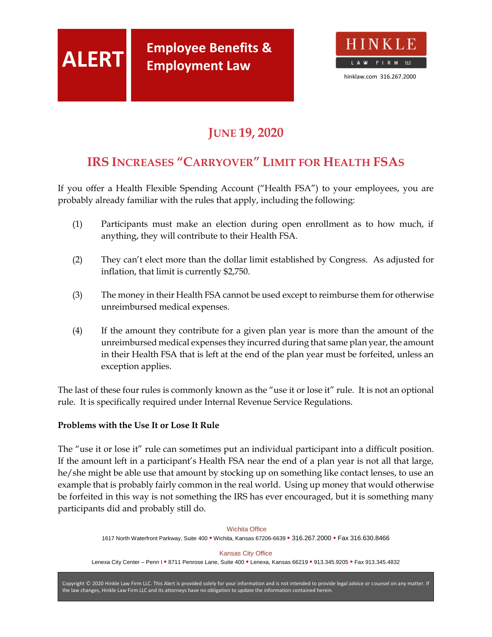

# **JUNE 19, 2020**

# **IRS INCREASES "CARRYOVER" LIMIT FOR HEALTH FSAS**

If you offer a Health Flexible Spending Account ("Health FSA") to your employees, you are probably already familiar with the rules that apply, including the following:

- (1) Participants must make an election during open enrollment as to how much, if anything, they will contribute to their Health FSA.
- (2) They can't elect more than the dollar limit established by Congress. As adjusted for inflation, that limit is currently \$2,750.
- (3) The money in their Health FSA cannot be used except to reimburse them for otherwise unreimbursed medical expenses.
- (4) If the amount they contribute for a given plan year is more than the amount of the unreimbursed medical expenses they incurred during that same plan year, the amount in their Health FSA that is left at the end of the plan year must be forfeited, unless an exception applies.

The last of these four rules is commonly known as the "use it or lose it" rule. It is not an optional rule. It is specifically required under Internal Revenue Service Regulations.

### **Problems with the Use It or Lose It Rule**

The "use it or lose it" rule can sometimes put an individual participant into a difficult position. If the amount left in a participant's Health FSA near the end of a plan year is not all that large, he/she might be able use that amount by stocking up on something like contact lenses, to use an example that is probably fairly common in the real world. Using up money that would otherwise be forfeited in this way is not something the IRS has ever encouraged, but it is something many participants did and probably still do.

[Wichita Office](http://www.hinklaw.com/) 1617 North [Waterfront Parkway, Suite](http://www.hinklaw.com/) 400 · Wichita, Kansas 67206-6639 · 316.267.2000 · Fax 316.630.8466 [Kansas City Office](http://www.hinklaw.com/) Lenexa City Center - Penn I = [8711 Penrose Lane, Suite 400](http://www.hinklaw.com/) = Lenexa, Kansas 66219 = 913.345.9205 = Fax 913.345.4832

Copyright © [2020 Hinkle Law Firm LLC. This Alert is provided solely for your information and is not intended to provide legal advice or counsel on any matter. If](http://www.hinklaw.com/)  [the law changes, Hinkle Law Firm LLC and its attorneys have no obligation to update the information contained herein.](http://www.hinklaw.com/)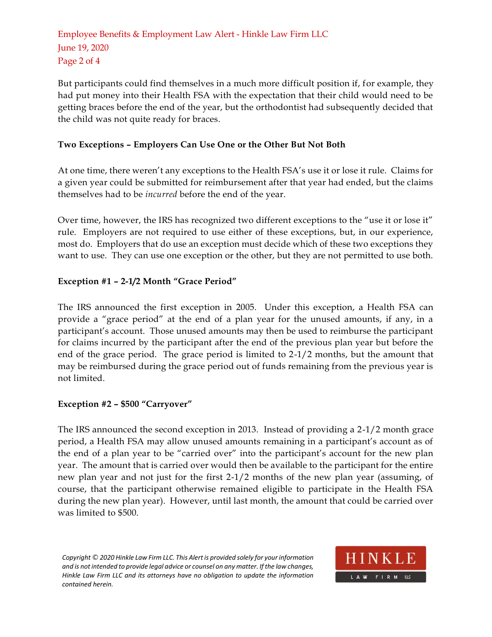Employee Benefits & Employment Law Alert - [Hinkle Law Firm LLC](http://www.hinklaw.com/) [June 19, 2020](http://www.hinklaw.com/) [Page 2](http://www.hinklaw.com/) of 4

But participants could find themselves in a much more difficult position if, for example, they had put money into their Health FSA with the expectation that their child would need to be getting braces before the end of the year, but the orthodontist had subsequently decided that the child was not quite ready for braces.

### **Two Exceptions – Employers Can Use One or the Other But Not Both**

At one time, there weren't any exceptions to the Health FSA's use it or lose it rule. Claims for a given year could be submitted for reimbursement after that year had ended, but the claims themselves had to be *incurred* before the end of the year.

Over time, however, the IRS has recognized two different exceptions to the "use it or lose it" rule. Employers are not required to use either of these exceptions, but, in our experience, most do. Employers that do use an exception must decide which of these two exceptions they want to use. They can use one exception or the other, but they are not permitted to use both.

### **Exception #1 – 2-1/2 Month "Grace Period"**

The IRS announced the first exception in 2005. Under this exception, a Health FSA can provide a "grace period" at the end of a plan year for the unused amounts, if any, in a participant's account. Those unused amounts may then be used to reimburse the participant for claims incurred by the participant after the end of the previous plan year but before the end of the grace period. The grace period is limited to 2-1/2 months, but the amount that may be reimbursed during the grace period out of funds remaining from the previous year is not limited.

### **Exception #2 – \$500 "Carryover"**

The IRS announced the second exception in 2013. Instead of providing a 2-1/2 month grace period, a Health FSA may allow unused amounts remaining in a participant's account as of the end of a plan year to be "carried over" into the participant's account for the new plan year. The amount that is carried over would then be available to the participant for the entire new plan year and not just for the first 2-1/2 months of the new plan year (assuming, of course, that the participant otherwise remained eligible to participate in the Health FSA during the new plan year). However, until last month, the amount that could be carried over was limited to \$500.

*Copyright © [2020 Hinkle Law Firm LLC. This Alert is provided solely for your information](http://www.hinklaw.com/)  [and is not intended to provide legal advice or counsel on any matter. If the law changes,](http://www.hinklaw.com/)  [Hinkle Law Firm LLC and its attorneys have no obligation to update the information](http://www.hinklaw.com/)  [contained herein.](http://www.hinklaw.com/)*

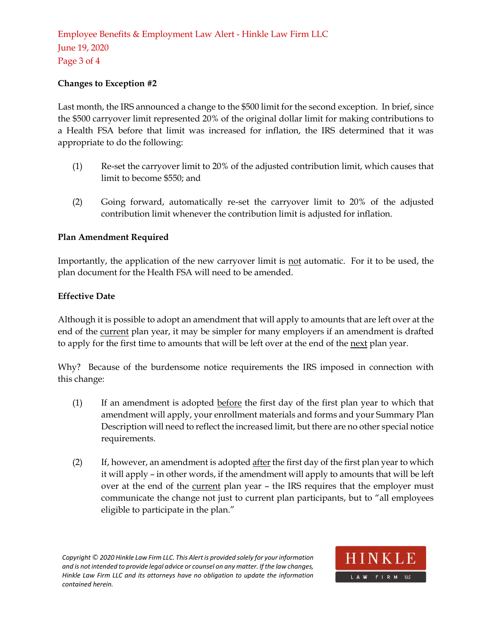## Employee Benefits & Employment Law Alert - [Hinkle Law Firm LLC](http://www.hinklaw.com/) [June 19, 2020](http://www.hinklaw.com/) [Page 3](http://www.hinklaw.com/) of 4

### **Changes to Exception #2**

Last month, the IRS announced a change to the \$500 limit for the second exception. In brief, since the \$500 carryover limit represented 20% of the original dollar limit for making contributions to a Health FSA before that limit was increased for inflation, the IRS determined that it was appropriate to do the following:

- (1) Re-set the carryover limit to 20% of the adjusted contribution limit, which causes that limit to become \$550; and
- (2) Going forward, automatically re-set the carryover limit to 20% of the adjusted contribution limit whenever the contribution limit is adjusted for inflation.

### **Plan Amendment Required**

Importantly, the application of the new carryover limit is not automatic. For it to be used, the plan document for the Health FSA will need to be amended.

### **Effective Date**

Although it is possible to adopt an amendment that will apply to amounts that are left over at the end of the current plan year, it may be simpler for many employers if an amendment is drafted to apply for the first time to amounts that will be left over at the end of the next plan year.

Why? Because of the burdensome notice requirements the IRS imposed in connection with this change:

- (1) If an amendment is adopted before the first day of the first plan year to which that amendment will apply, your enrollment materials and forms and your Summary Plan Description will need to reflect the increased limit, but there are no other special notice requirements.
- (2) If, however, an amendment is adopted after the first day of the first plan year to which it will apply – in other words, if the amendment will apply to amounts that will be left over at the end of the current plan year - the IRS requires that the employer must communicate the change not just to current plan participants, but to "all employees eligible to participate in the plan."